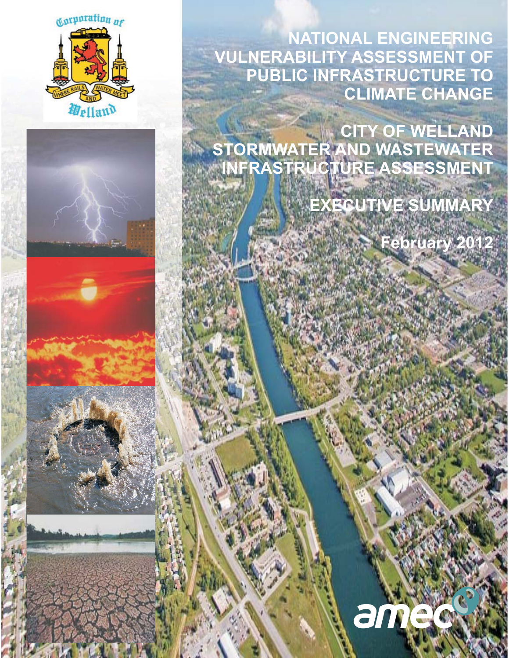

**NATIONAL ENGINEERING VULNERABILITY ASSESSMENT OF PUBLIC INFRASTRUCTURE TO CLIMATE CHANGE** 

**CITY OF WELLAND STORMWATER AND WASTEWATER INFRASTRUCTURE ASSESSMENT** 

**EXECUTIVE SUMMARY** 

**February 2012** 









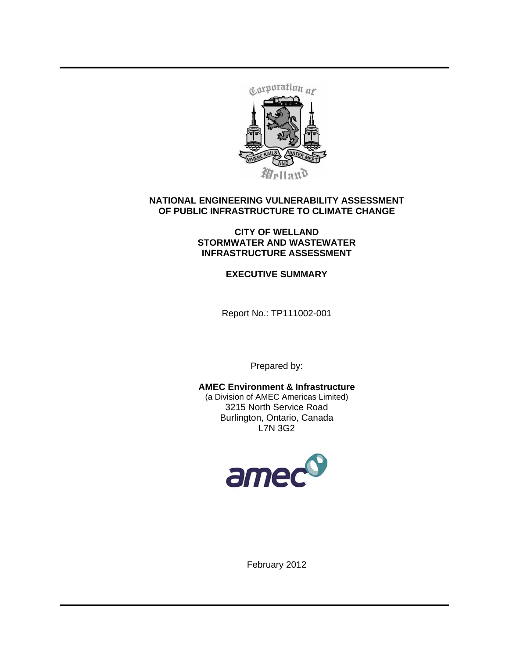

## **NATIONAL ENGINEERING VULNERABILITY ASSESSMENT OF PUBLIC INFRASTRUCTURE TO CLIMATE CHANGE**

### **CITY OF WELLAND STORMWATER AND WASTEWATER INFRASTRUCTURE ASSESSMENT**

**EXECUTIVE SUMMARY** 

Report No.: TP111002-001

Prepared by:

**AMEC Environment & Infrastructure**  (a Division of AMEC Americas Limited) 3215 North Service Road Burlington, Ontario, Canada L7N 3G2



February 2012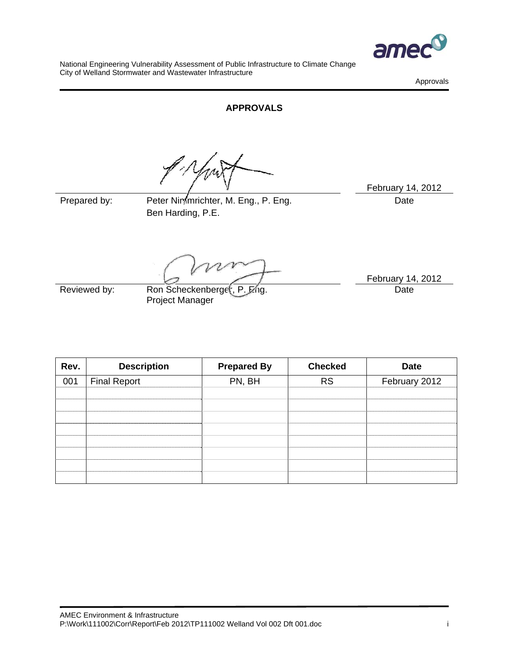

Approvals

## **APPROVALS**

Prepared by: Peter Nimmrichter, M. Eng., P. Eng. Prepared by: Date Ben Harding, P.E.

February 14, 2012

Reviewed by: Ron Scheckenberger, P. Eng. Project Manager

February 14, 2012 Date

| Rev. | <b>Description</b>  | <b>Prepared By</b> | <b>Checked</b> | <b>Date</b>   |
|------|---------------------|--------------------|----------------|---------------|
| 001  | <b>Final Report</b> | PN, BH             | <b>RS</b>      | February 2012 |
|      |                     |                    |                |               |
|      |                     |                    |                |               |
|      |                     |                    |                |               |
|      |                     |                    |                |               |
|      |                     |                    |                |               |
|      |                     |                    |                |               |
|      |                     |                    |                |               |
|      |                     |                    |                |               |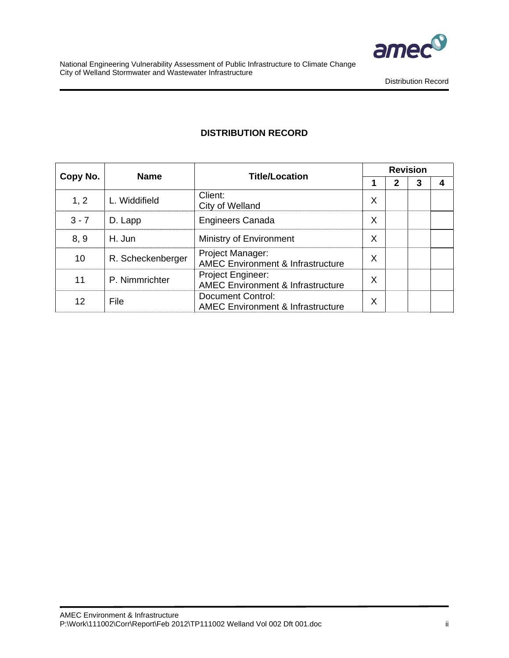

Distribution Record

# **DISTRIBUTION RECORD**

|          | <b>Name</b>       | <b>Title/Location</b>                                                    | <b>Revision</b> |              |   |   |  |  |  |  |  |  |
|----------|-------------------|--------------------------------------------------------------------------|-----------------|--------------|---|---|--|--|--|--|--|--|
| Copy No. |                   |                                                                          |                 | $\mathbf{2}$ | 3 | 4 |  |  |  |  |  |  |
| 1, 2     | L. Widdifield     | Client:<br>City of Welland                                               | X               |              |   |   |  |  |  |  |  |  |
| $3 - 7$  | D. Lapp           | <b>Engineers Canada</b>                                                  | X               |              |   |   |  |  |  |  |  |  |
| 8, 9     | H. Jun            | Ministry of Environment                                                  | X               |              |   |   |  |  |  |  |  |  |
| 10       | R. Scheckenberger | Project Manager:<br><b>AMEC Environment &amp; Infrastructure</b>         | X               |              |   |   |  |  |  |  |  |  |
| 11       | P. Nimmrichter    | Project Engineer:<br><b>AMEC Environment &amp; Infrastructure</b>        | X               |              |   |   |  |  |  |  |  |  |
| 12       | File              | <b>Document Control:</b><br><b>AMEC Environment &amp; Infrastructure</b> | Χ               |              |   |   |  |  |  |  |  |  |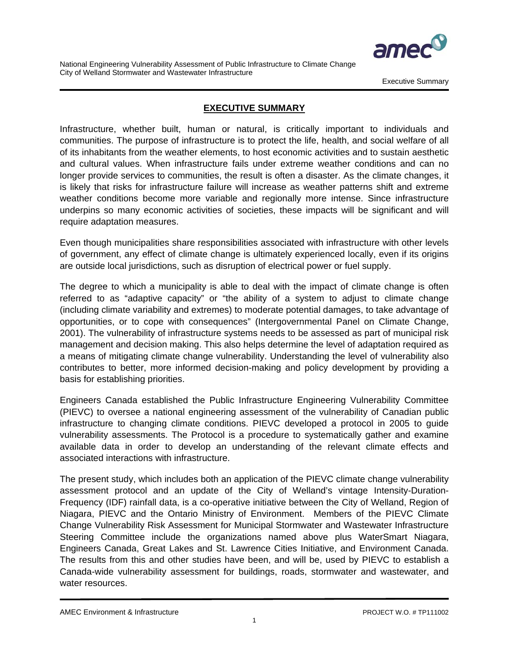

Executive Summary

## **EXECUTIVE SUMMARY**

Infrastructure, whether built, human or natural, is critically important to individuals and communities. The purpose of infrastructure is to protect the life, health, and social welfare of all of its inhabitants from the weather elements, to host economic activities and to sustain aesthetic and cultural values. When infrastructure fails under extreme weather conditions and can no longer provide services to communities, the result is often a disaster. As the climate changes, it is likely that risks for infrastructure failure will increase as weather patterns shift and extreme weather conditions become more variable and regionally more intense. Since infrastructure underpins so many economic activities of societies, these impacts will be significant and will require adaptation measures.

Even though municipalities share responsibilities associated with infrastructure with other levels of government, any effect of climate change is ultimately experienced locally, even if its origins are outside local jurisdictions, such as disruption of electrical power or fuel supply.

The degree to which a municipality is able to deal with the impact of climate change is often referred to as "adaptive capacity" or "the ability of a system to adjust to climate change (including climate variability and extremes) to moderate potential damages, to take advantage of opportunities, or to cope with consequences" (Intergovernmental Panel on Climate Change, 2001). The vulnerability of infrastructure systems needs to be assessed as part of municipal risk management and decision making. This also helps determine the level of adaptation required as a means of mitigating climate change vulnerability. Understanding the level of vulnerability also contributes to better, more informed decision-making and policy development by providing a basis for establishing priorities.

Engineers Canada established the Public Infrastructure Engineering Vulnerability Committee (PIEVC) to oversee a national engineering assessment of the vulnerability of Canadian public infrastructure to changing climate conditions. PIEVC developed a protocol in 2005 to guide vulnerability assessments. The Protocol is a procedure to systematically gather and examine available data in order to develop an understanding of the relevant climate effects and associated interactions with infrastructure.

The present study, which includes both an application of the PIEVC climate change vulnerability assessment protocol and an update of the City of Welland's vintage Intensity-Duration-Frequency (IDF) rainfall data, is a co-operative initiative between the City of Welland, Region of Niagara, PIEVC and the Ontario Ministry of Environment. Members of the PIEVC Climate Change Vulnerability Risk Assessment for Municipal Stormwater and Wastewater Infrastructure Steering Committee include the organizations named above plus WaterSmart Niagara, Engineers Canada, Great Lakes and St. Lawrence Cities Initiative, and Environment Canada. The results from this and other studies have been, and will be, used by PIEVC to establish a Canada-wide vulnerability assessment for buildings, roads, stormwater and wastewater, and water resources.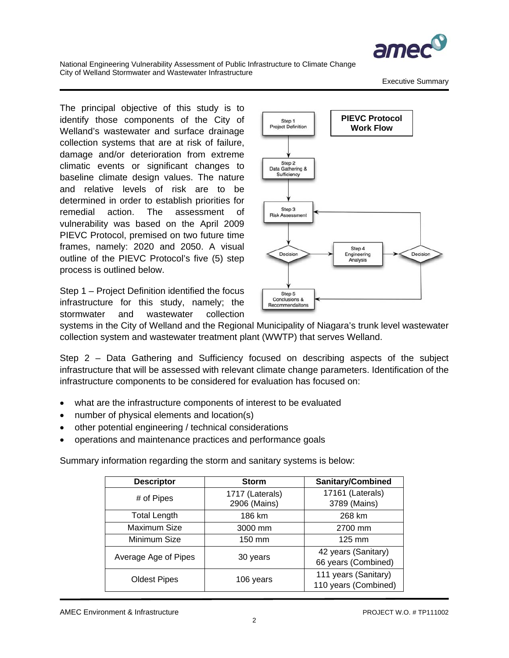

Executive Summary

The principal objective of this study is to identify those components of the City of Welland's wastewater and surface drainage collection systems that are at risk of failure, damage and/or deterioration from extreme climatic events or significant changes to baseline climate design values. The nature and relative levels of risk are to be determined in order to establish priorities for remedial action. The assessment of vulnerability was based on the April 2009 PIEVC Protocol, premised on two future time frames, namely: 2020 and 2050. A visual outline of the PIEVC Protocol's five (5) step process is outlined below.

Step 1 – Project Definition identified the focus infrastructure for this study, namely; the stormwater and wastewater collection



systems in the City of Welland and the Regional Municipality of Niagara's trunk level wastewater collection system and wastewater treatment plant (WWTP) that serves Welland.

Step 2 – Data Gathering and Sufficiency focused on describing aspects of the subject infrastructure that will be assessed with relevant climate change parameters. Identification of the infrastructure components to be considered for evaluation has focused on:

- what are the infrastructure components of interest to be evaluated
- number of physical elements and location(s)
- other potential engineering / technical considerations
- operations and maintenance practices and performance goals

Summary information regarding the storm and sanitary systems is below:

| <b>Descriptor</b>    | <b>Storm</b>                    | <b>Sanitary/Combined</b>                     |
|----------------------|---------------------------------|----------------------------------------------|
| # of Pipes           | 1717 (Laterals)<br>2906 (Mains) | 17161 (Laterals)<br>3789 (Mains)             |
| <b>Total Length</b>  | 186 km                          | 268 km                                       |
| Maximum Size         | 3000 mm                         | 2700 mm                                      |
| Minimum Size         | 150 mm                          | $125 \text{ mm}$                             |
| Average Age of Pipes | 30 years                        | 42 years (Sanitary)<br>66 years (Combined)   |
| <b>Oldest Pipes</b>  | 106 years                       | 111 years (Sanitary)<br>110 years (Combined) |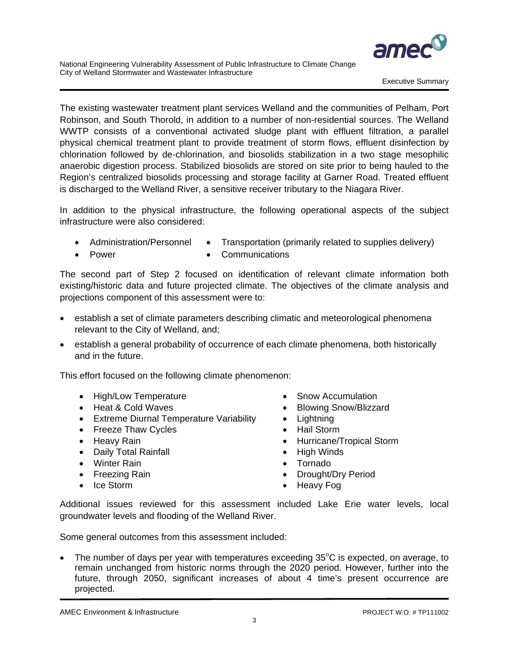

The existing wastewater treatment plant services Welland and the communities of Pelham, Port Robinson, and South Thorold, in addition to a number of non-residential sources. The Welland WWTP consists of a conventional activated sludge plant with effluent filtration, a parallel physical chemical treatment plant to provide treatment of storm flows, effluent disinfection by chlorination followed by de-chlorination, and biosolids stabilization in a two stage mesophilic anaerobic digestion process. Stabilized biosolids are stored on site prior to being hauled to the Region's centralized biosolids processing and storage facility at Garner Road. Treated effluent is discharged to the Welland River, a sensitive receiver tributary to the Niagara River.

In addition to the physical infrastructure, the following operational aspects of the subject infrastructure were also considered:

- Administration/Personnel Transportation (primarily related to supplies delivery)
- 
- Power Communications

The second part of Step 2 focused on identification of relevant climate information both existing/historic data and future projected climate. The objectives of the climate analysis and projections component of this assessment were to:

- establish a set of climate parameters describing climatic and meteorological phenomena relevant to the City of Welland, and;
- establish a general probability of occurrence of each climate phenomena, both historically and in the future.

This effort focused on the following climate phenomenon:

- High/Low Temperature Snow Accumulation
- 
- Extreme Diurnal Temperature Variability Lightning
- Freeze Thaw Cycles  **Hail Storm**
- 
- Daily Total Rainfall  **High Winds**
- Winter Rain  **Tornado**
- 
- 
- 
- Heat & Cold Waves Blowing Snow/Blizzard
	-
	-
- Heavy Rain **Hurricane/Tropical Storm** 
	-
	-
- Freezing Rain Drought/Dry Period
- Ice Storm Heavy Fog

Additional issues reviewed for this assessment included Lake Erie water levels, local groundwater levels and flooding of the Welland River.

Some general outcomes from this assessment included:

• The number of days per year with temperatures exceeding  $35^{\circ}$ C is expected, on average, to remain unchanged from historic norms through the 2020 period. However, further into the future, through 2050, significant increases of about 4 time's present occurrence are projected.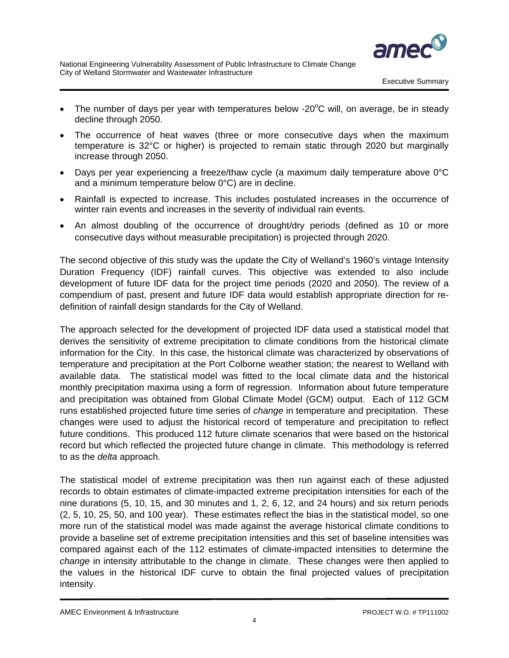

- The number of days per year with temperatures below -20 $^{\circ}$ C will, on average, be in steady decline through 2050.
- The occurrence of heat waves (three or more consecutive days when the maximum temperature is 32°C or higher) is projected to remain static through 2020 but marginally increase through 2050.
- Days per year experiencing a freeze/thaw cycle (a maximum daily temperature above 0°C and a minimum temperature below 0°C) are in decline.
- Rainfall is expected to increase. This includes postulated increases in the occurrence of winter rain events and increases in the severity of individual rain events.
- An almost doubling of the occurrence of drought/dry periods (defined as 10 or more consecutive days without measurable precipitation) is projected through 2020.

The second objective of this study was the update the City of Welland's 1960's vintage Intensity Duration Frequency (IDF) rainfall curves. This objective was extended to also include development of future IDF data for the project time periods (2020 and 2050). The review of a compendium of past, present and future IDF data would establish appropriate direction for redefinition of rainfall design standards for the City of Welland.

The approach selected for the development of projected IDF data used a statistical model that derives the sensitivity of extreme precipitation to climate conditions from the historical climate information for the City. In this case, the historical climate was characterized by observations of temperature and precipitation at the Port Colborne weather station; the nearest to Welland with available data. The statistical model was fitted to the local climate data and the historical monthly precipitation maxima using a form of regression. Information about future temperature and precipitation was obtained from Global Climate Model (GCM) output. Each of 112 GCM runs established projected future time series of *change* in temperature and precipitation. These changes were used to adjust the historical record of temperature and precipitation to reflect future conditions. This produced 112 future climate scenarios that were based on the historical record but which reflected the projected future change in climate. This methodology is referred to as the *delta* approach.

The statistical model of extreme precipitation was then run against each of these adjusted records to obtain estimates of climate-impacted extreme precipitation intensities for each of the nine durations (5, 10, 15, and 30 minutes and 1, 2, 6, 12, and 24 hours) and six return periods (2, 5, 10, 25, 50, and 100 year). These estimates reflect the bias in the statistical model, so one more run of the statistical model was made against the average historical climate conditions to provide a baseline set of extreme precipitation intensities and this set of baseline intensities was compared against each of the 112 estimates of climate-impacted intensities to determine the *change* in intensity attributable to the change in climate. These changes were then applied to the values in the historical IDF curve to obtain the final projected values of precipitation intensity.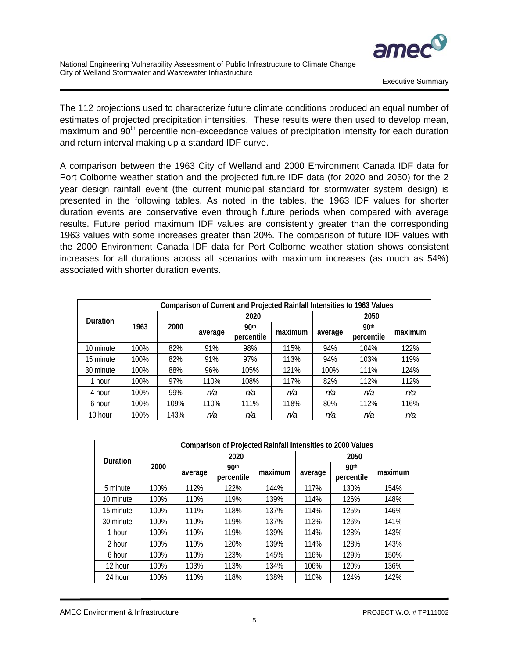

The 112 projections used to characterize future climate conditions produced an equal number of estimates of projected precipitation intensities. These results were then used to develop mean, maximum and 90<sup>th</sup> percentile non-exceedance values of precipitation intensity for each duration and return interval making up a standard IDF curve.

A comparison between the 1963 City of Welland and 2000 Environment Canada IDF data for Port Colborne weather station and the projected future IDF data (for 2020 and 2050) for the 2 year design rainfall event (the current municipal standard for stormwater system design) is presented in the following tables. As noted in the tables, the 1963 IDF values for shorter duration events are conservative even through future periods when compared with average results. Future period maximum IDF values are consistently greater than the corresponding 1963 values with some increases greater than 20%. The comparison of future IDF values with the 2000 Environment Canada IDF data for Port Colborne weather station shows consistent increases for all durations across all scenarios with maximum increases (as much as 54%) associated with shorter duration events.

|                 |      | Comparison of Current and Projected Rainfall Intensities to 1963 Values |         |                                |         |         |                                |         |  |  |  |  |  |  |  |  |
|-----------------|------|-------------------------------------------------------------------------|---------|--------------------------------|---------|---------|--------------------------------|---------|--|--|--|--|--|--|--|--|
| <b>Duration</b> |      |                                                                         |         | 2020                           |         | 2050    |                                |         |  |  |  |  |  |  |  |  |
|                 | 1963 | 2000                                                                    | average | 90 <sup>th</sup><br>percentile | maximum | average | 90 <sup>th</sup><br>percentile | maximum |  |  |  |  |  |  |  |  |
| 10 minute       | 100% | 82%                                                                     | 91%     | 98%                            | 115%    | 94%     | 104%                           | 122%    |  |  |  |  |  |  |  |  |
| 15 minute       | 100% | 82%                                                                     | 91%     | 97%                            | 113%    | 94%     | 103%                           | 119%    |  |  |  |  |  |  |  |  |
| 30 minute       | 100% | 88%                                                                     | 96%     | 105%                           | 121%    | 100%    | 111%                           | 124%    |  |  |  |  |  |  |  |  |
| 1 hour          | 100% | 97%                                                                     | 110%    | 108%                           | 117%    | 82%     | 112%                           | 112%    |  |  |  |  |  |  |  |  |
| 4 hour          | 100% | 99%                                                                     | n/a     | n/a                            | n/a     | n/a     | n/a                            | n/a     |  |  |  |  |  |  |  |  |
| 6 hour          | 100% | 109%                                                                    | 110%    | 111%                           | 118%    | 80%     | 112%                           | 116%    |  |  |  |  |  |  |  |  |
| 10 hour         | 100% | 143%                                                                    | n/a     | n/a                            | n/a     | n/a     | n/a                            | n/a     |  |  |  |  |  |  |  |  |

|           | <b>Comparison of Projected Rainfall Intensities to 2000 Values</b> |         |                  |         |         |            |         |  |  |  |  |  |  |  |
|-----------|--------------------------------------------------------------------|---------|------------------|---------|---------|------------|---------|--|--|--|--|--|--|--|
| Duration  |                                                                    |         | 2020             |         | 2050    |            |         |  |  |  |  |  |  |  |
|           | 2000                                                               | average | 90 <sup>th</sup> | maximum | average | 90th       | maximum |  |  |  |  |  |  |  |
|           |                                                                    |         | percentile       |         |         | percentile |         |  |  |  |  |  |  |  |
| 5 minute  | 100%                                                               | 112%    | 122%             | 144%    | 117%    | 130%       | 154%    |  |  |  |  |  |  |  |
| 10 minute | 100%                                                               | 110%    | 119%             | 139%    | 114%    | 126%       | 148%    |  |  |  |  |  |  |  |
| 15 minute | 100%                                                               | 111%    | 118%             | 137%    | 114%    | 125%       | 146%    |  |  |  |  |  |  |  |
| 30 minute | 100%                                                               | 110%    | 119%             | 137%    | 113%    | 126%       | 141%    |  |  |  |  |  |  |  |
| 1 hour    | 100%                                                               | 110%    | 119%             | 139%    | 114%    | 128%       | 143%    |  |  |  |  |  |  |  |
| 2 hour    | 100%                                                               | 110%    | 120%             | 139%    | 114%    | 128%       | 143%    |  |  |  |  |  |  |  |
| 6 hour    | 100%                                                               | 110%    | 123%             | 145%    | 116%    | 129%       | 150%    |  |  |  |  |  |  |  |
| 12 hour   | 100%                                                               | 103%    | 113%             | 134%    | 106%    | 120%       | 136%    |  |  |  |  |  |  |  |
| 24 hour   | 100%                                                               | 110%    | 118%             | 138%    | 110%    | 124%       | 142%    |  |  |  |  |  |  |  |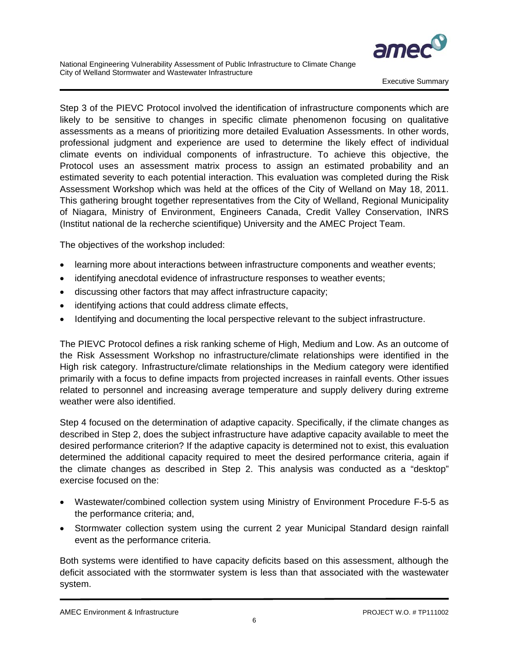

Executive Summary

Step 3 of the PIEVC Protocol involved the identification of infrastructure components which are likely to be sensitive to changes in specific climate phenomenon focusing on qualitative assessments as a means of prioritizing more detailed Evaluation Assessments. In other words, professional judgment and experience are used to determine the likely effect of individual climate events on individual components of infrastructure. To achieve this objective, the Protocol uses an assessment matrix process to assign an estimated probability and an estimated severity to each potential interaction. This evaluation was completed during the Risk Assessment Workshop which was held at the offices of the City of Welland on May 18, 2011. This gathering brought together representatives from the City of Welland, Regional Municipality of Niagara, Ministry of Environment, Engineers Canada, Credit Valley Conservation, INRS (Institut national de la recherche scientifique) University and the AMEC Project Team.

The objectives of the workshop included:

- learning more about interactions between infrastructure components and weather events;
- identifying anecdotal evidence of infrastructure responses to weather events;
- discussing other factors that may affect infrastructure capacity;
- identifying actions that could address climate effects,
- Identifying and documenting the local perspective relevant to the subject infrastructure.

The PIEVC Protocol defines a risk ranking scheme of High, Medium and Low. As an outcome of the Risk Assessment Workshop no infrastructure/climate relationships were identified in the High risk category. Infrastructure/climate relationships in the Medium category were identified primarily with a focus to define impacts from projected increases in rainfall events. Other issues related to personnel and increasing average temperature and supply delivery during extreme weather were also identified.

Step 4 focused on the determination of adaptive capacity. Specifically, if the climate changes as described in Step 2, does the subject infrastructure have adaptive capacity available to meet the desired performance criterion? If the adaptive capacity is determined not to exist, this evaluation determined the additional capacity required to meet the desired performance criteria, again if the climate changes as described in Step 2. This analysis was conducted as a "desktop" exercise focused on the:

- Wastewater/combined collection system using Ministry of Environment Procedure F-5-5 as the performance criteria; and,
- Stormwater collection system using the current 2 year Municipal Standard design rainfall event as the performance criteria.

Both systems were identified to have capacity deficits based on this assessment, although the deficit associated with the stormwater system is less than that associated with the wastewater system.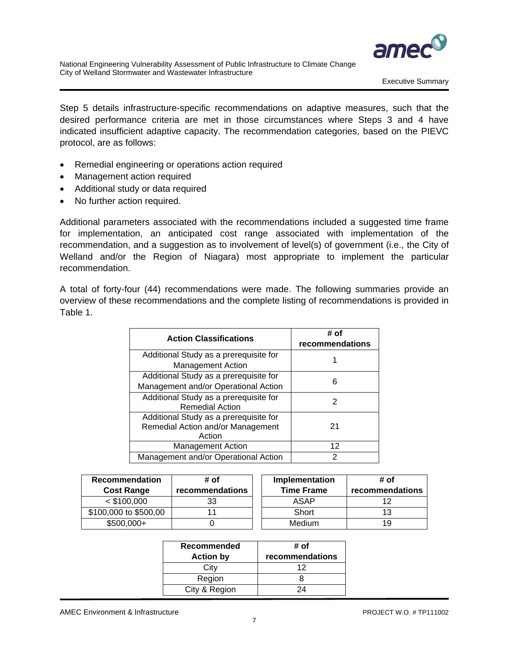

Step 5 details infrastructure-specific recommendations on adaptive measures, such that the desired performance criteria are met in those circumstances where Steps 3 and 4 have indicated insufficient adaptive capacity. The recommendation categories, based on the PIEVC protocol, are as follows:

- Remedial engineering or operations action required
- Management action required
- Additional study or data required
- No further action required.

 Additional parameters associated with the recommendations included a suggested time frame for implementation, an anticipated cost range associated with implementation of the recommendation, and a suggestion as to involvement of level(s) of government (i.e., the City of Welland and/or the Region of Niagara) most appropriate to implement the particular recommendation.

A total of forty-four (44) recommendations were made. The following summaries provide an overview of these recommendations and the complete listing of recommendations is provided in Table 1.

| <b>Action Classifications</b>                                                         | # of<br>recommendations |
|---------------------------------------------------------------------------------------|-------------------------|
| Additional Study as a prerequisite for<br><b>Management Action</b>                    |                         |
| Additional Study as a prerequisite for<br>Management and/or Operational Action        | 6                       |
| Additional Study as a prerequisite for<br><b>Remedial Action</b>                      | 2                       |
| Additional Study as a prerequisite for<br>Remedial Action and/or Management<br>Action | 21                      |
| Management Action                                                                     | 12                      |
| Management and/or Operational Action                                                  | 2                       |

| <b>Recommendation</b><br><b>Cost Range</b> | # of<br>recommendations | Implementation<br><b>Time Frame</b> | # of<br>recommendations |
|--------------------------------------------|-------------------------|-------------------------------------|-------------------------|
| $<$ \$100,000                              | 33                      | ASAP                                |                         |
| \$100,000 to \$500,00                      |                         | Short                               | 13                      |
| $$500,000+$                                |                         | <b>Medium</b>                       | 19                      |

| Recommended<br><b>Action by</b> | # of<br>recommendations |
|---------------------------------|-------------------------|
| City                            | 12                      |
| Region                          |                         |
| City & Region                   |                         |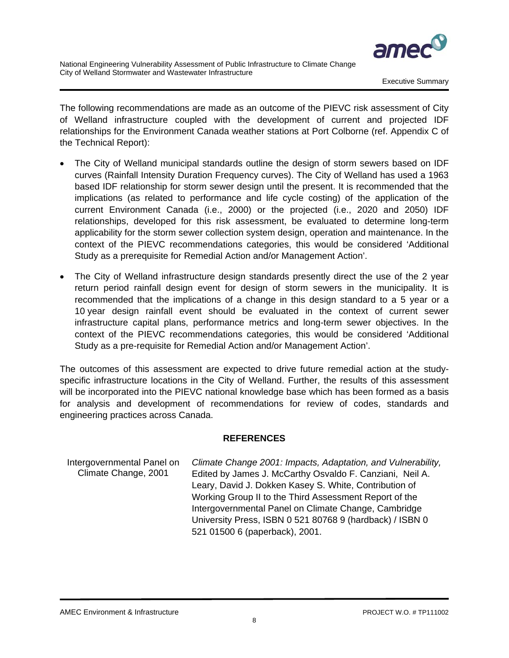

The following recommendations are made as an outcome of the PIEVC risk assessment of City of Welland infrastructure coupled with the development of current and projected IDF relationships for the Environment Canada weather stations at Port Colborne (ref. Appendix C of the Technical Report):

- The City of Welland municipal standards outline the design of storm sewers based on IDF curves (Rainfall Intensity Duration Frequency curves). The City of Welland has used a 1963 based IDF relationship for storm sewer design until the present. It is recommended that the implications (as related to performance and life cycle costing) of the application of the current Environment Canada (i.e., 2000) or the projected (i.e., 2020 and 2050) IDF relationships, developed for this risk assessment, be evaluated to determine long-term applicability for the storm sewer collection system design, operation and maintenance. In the context of the PIEVC recommendations categories, this would be considered 'Additional Study as a prerequisite for Remedial Action and/or Management Action'.
- The City of Welland infrastructure design standards presently direct the use of the 2 year return period rainfall design event for design of storm sewers in the municipality. It is recommended that the implications of a change in this design standard to a 5 year or a 10 year design rainfall event should be evaluated in the context of current sewer infrastructure capital plans, performance metrics and long-term sewer objectives. In the context of the PIEVC recommendations categories, this would be considered 'Additional Study as a pre-requisite for Remedial Action and/or Management Action'.

The outcomes of this assessment are expected to drive future remedial action at the studyspecific infrastructure locations in the City of Welland. Further, the results of this assessment will be incorporated into the PIEVC national knowledge base which has been formed as a basis for analysis and development of recommendations for review of codes, standards and engineering practices across Canada.

#### **REFERENCES**

Intergovernmental Panel on *Climate Change 2001: Impacts, Adaptation, and Vulnerability,*  Climate Change, 2001 Edited by James J. McCarthy Osvaldo F. Canziani, Neil A. Leary, David J. Dokken Kasey S. White, Contribution of Working Group II to the Third Assessment Report of the Intergovernmental Panel on Climate Change, Cambridge University Press, ISBN 0 521 80768 9 (hardback) / ISBN 0 521 01500 6 (paperback), 2001.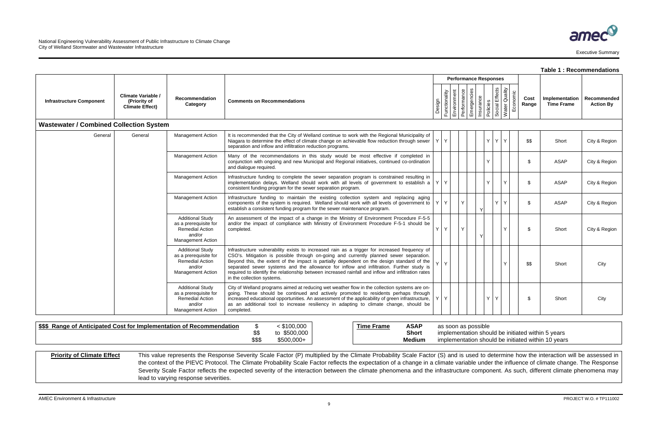hould be initiated within 5 years hould be initiated within 10 years

|                                                |                                                              |                                                                                                           |                                                                                                                                                                                                                                                                                                                                                                                                                                                                                                                      |         |                                        |             |                              |                                         |                  |          |               | Table 1 : Recommendations           |                                 |
|------------------------------------------------|--------------------------------------------------------------|-----------------------------------------------------------------------------------------------------------|----------------------------------------------------------------------------------------------------------------------------------------------------------------------------------------------------------------------------------------------------------------------------------------------------------------------------------------------------------------------------------------------------------------------------------------------------------------------------------------------------------------------|---------|----------------------------------------|-------------|------------------------------|-----------------------------------------|------------------|----------|---------------|-------------------------------------|---------------------------------|
|                                                |                                                              |                                                                                                           |                                                                                                                                                                                                                                                                                                                                                                                                                                                                                                                      |         |                                        |             | <b>Performance Responses</b> |                                         |                  |          |               |                                     |                                 |
| <b>Infrastructure Component</b>                | Climate Variable /<br>(Priority of<br><b>Climate Effect)</b> | Recommendation<br>Category                                                                                | <b>Comments on Recommendations</b>                                                                                                                                                                                                                                                                                                                                                                                                                                                                                   |         | Design<br>Functionality<br>Environment | Performance | Emergencies                  | Insurance<br>Policies<br>Social Effects | Quality<br>Water | Economic | Cost<br>Range | Implementation<br><b>Time Frame</b> | Recommended<br><b>Action By</b> |
| <b>Wastewater / Combined Collection System</b> |                                                              |                                                                                                           |                                                                                                                                                                                                                                                                                                                                                                                                                                                                                                                      |         |                                        |             |                              |                                         |                  |          |               |                                     |                                 |
| General                                        | General                                                      | <b>Management Action</b>                                                                                  | It is recommended that the City of Welland continue to work with the Regional Municipality of<br>Niagara to determine the effect of climate change on achievable flow reduction through sewer $ Y $<br>separation and inflow and infiltration reduction programs.                                                                                                                                                                                                                                                    |         |                                        |             |                              | Y  <br>Y                                | Y                |          | \$\$          | Short                               | City & Region                   |
|                                                |                                                              | <b>Management Action</b>                                                                                  | Many of the recommendations in this study would be most effective if completed in<br>conjunction with ongoing and new Municipal and Regional initiatives, continued co-ordination<br>and dialogue required.                                                                                                                                                                                                                                                                                                          |         |                                        |             |                              |                                         |                  |          | \$            | ASAP                                | City & Region                   |
|                                                |                                                              | <b>Management Action</b>                                                                                  | Infrastructure funding to complete the sewer separation program is constrained resulting in<br>implementation delays. Welland should work with all levels of government to establish a $ Y Y$<br>consistent funding program for the sewer separation program.                                                                                                                                                                                                                                                        |         |                                        |             |                              |                                         | Y                |          | \$            | ASAP                                | City & Region                   |
|                                                |                                                              | <b>Management Action</b>                                                                                  | Infrastructure funding to maintain the existing collection system and replacing aging<br>components of the system is required. Welland should work with all levels of government to $ Y Y$<br>establish a consistent funding program for the sewer maintenance program.                                                                                                                                                                                                                                              |         |                                        | Y           |                              |                                         | Y                |          | \$            | ASAP                                | City & Region                   |
|                                                |                                                              | <b>Additional Study</b><br>as a prerequisite for<br>Remedial Action<br>and/or<br><b>Management Action</b> | An assessment of the impact of a change in the Ministry of Environment Procedure F-5-5<br>and/or the impact of compliance with Ministry of Environment Procedure F-5-1 should be<br>completed.                                                                                                                                                                                                                                                                                                                       | Y       | Y                                      | Y           |                              |                                         | Y                |          | \$            | Short                               | City & Region                   |
|                                                |                                                              | <b>Additional Study</b><br>as a prerequisite for<br>Remedial Action<br>and/or<br><b>Management Action</b> | Infrastructure vulnerability exists to increased rain as a trigger for increased frequency of<br>CSO's. Mitigation is possible through on-going and currently planned sewer separation.<br>Beyond this, the extent of the impact is partially dependent on the design standard of the<br>separated sewer systems and the allowance for inflow and infiltration. Further study is<br>required to identify the relationship between increased rainfall and inflow and infiltration rates<br>in the collection systems. | $Y$ $Y$ |                                        |             |                              |                                         | Y                |          | \$\$          | Short                               | City                            |
|                                                |                                                              | <b>Additional Study</b><br>as a prerequisite for<br>Remedial Action<br>and/or<br><b>Management Action</b> | City of Welland programs aimed at reducing wet weather flow in the collection systems are on-<br>going. These should be continued and actively promoted to residents perhaps through<br>increased educational opportunities. An assessment of the applicability of green infrastructure, $ Y Y$<br>as an additional tool to increase resiliency in adapting to climate change, should be<br>completed.                                                                                                               |         |                                        |             |                              | Y<br>Y                                  |                  |          | \$            | Short                               | City                            |

| \$\$\$<br>a of Anticipated Cost for Implementation of Recommendation<br>Range |             | \$100,000       | Frame<br>īme | <b>ASAP</b>   | s possible<br>as soon<br>. as |
|-------------------------------------------------------------------------------|-------------|-----------------|--------------|---------------|-------------------------------|
|                                                                               | ሖለ<br>ΨΨ    | \$500,000<br>៶៴ |              | <b>Short</b>  | implementation sho            |
|                                                                               | ጦጦጦ<br>$D+$ | \$500,000+      |              | <b>Medium</b> | implementation sho            |

## Priority of Climate Effect This value represents the Response Severity Scale Factor (P) multiplied by the Climate Probability Scale Factor (S) and is used to determine how the interaction will be assessed in the context of the PIEVC Protocol. The Climate Probability Scale Factor reflects the expectation of a change in a climate variable under the influence of climate change. The Response Severity Scale Factor reflects the expected severity of the interaction between the climate phenomena and the infrastructure component. As such, different climate phenomena may lead to varying response severities.

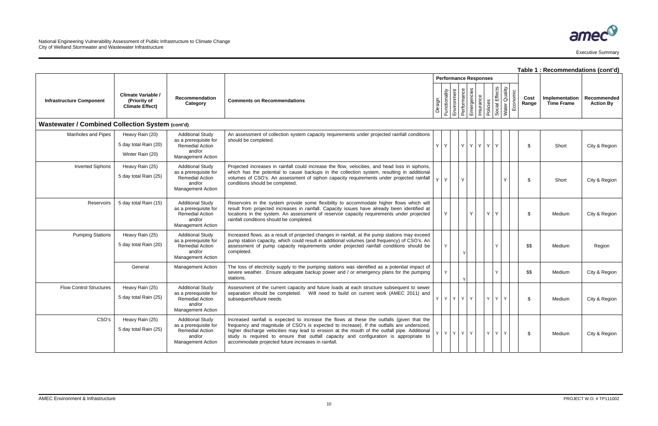|                                                  |                                                                     |                                                                                                                  |                                                                                                                                                                                                                                                                                                                                                                                                                                          |        |         |                              |              |                          |          |                              |              |          |               | Table 1 : Recommendations (cont'd)  |                                 |
|--------------------------------------------------|---------------------------------------------------------------------|------------------------------------------------------------------------------------------------------------------|------------------------------------------------------------------------------------------------------------------------------------------------------------------------------------------------------------------------------------------------------------------------------------------------------------------------------------------------------------------------------------------------------------------------------------------|--------|---------|------------------------------|--------------|--------------------------|----------|------------------------------|--------------|----------|---------------|-------------------------------------|---------------------------------|
|                                                  |                                                                     |                                                                                                                  |                                                                                                                                                                                                                                                                                                                                                                                                                                          |        |         | <b>Performance Responses</b> |              |                          |          |                              |              |          |               |                                     |                                 |
| <b>Infrastructure Component</b>                  | <b>Climate Variable /</b><br>(Priority of<br><b>Climate Effect)</b> | <b>Recommendation</b><br>Category                                                                                | <b>Comments on Recommendations</b>                                                                                                                                                                                                                                                                                                                                                                                                       | Design |         | Functionality<br>Environment | Performance  | Emergencies<br>Insurance | Policies | Effects<br>Social<br>Water ( | Quality      | Economic | Cost<br>Range | Implementation<br><b>Time Frame</b> | Recommended<br><b>Action By</b> |
| Wastewater / Combined Collection System (cont'd) |                                                                     |                                                                                                                  |                                                                                                                                                                                                                                                                                                                                                                                                                                          |        |         |                              |              |                          |          |                              |              |          |               |                                     |                                 |
| Manholes and Pipes                               | Heavy Rain (20)                                                     | <b>Additional Study</b>                                                                                          | An assessment of collection system capacity requirements under projected rainfall conditions                                                                                                                                                                                                                                                                                                                                             |        |         |                              |              |                          |          |                              |              |          |               |                                     |                                 |
|                                                  | 5 day total Rain (20)                                               | as a prerequisite for<br><b>Remedial Action</b>                                                                  | should be completed.                                                                                                                                                                                                                                                                                                                                                                                                                     |        | YY      |                              |              | Y Y Y Y Y                |          |                              |              |          | \$            | Short                               | City & Region                   |
|                                                  | Winter Rain (20)                                                    | and/or<br><b>Management Action</b>                                                                               |                                                                                                                                                                                                                                                                                                                                                                                                                                          |        |         |                              |              |                          |          |                              |              |          |               |                                     |                                 |
| <b>Inverted Siphons</b>                          | Heavy Rain (25)                                                     | <b>Additional Study</b>                                                                                          | Projected increases in rainfall could increase the flow, velocities, and head loss in siphons,                                                                                                                                                                                                                                                                                                                                           |        |         |                              |              |                          |          |                              |              |          |               |                                     |                                 |
|                                                  | 5 day total Rain (25)                                               | as a prerequisite for<br>Remedial Action<br>and/or<br><b>Management Action</b>                                   | which has the potential to cause backups in the collection system, resulting in additional<br>volumes of CSO's. An assessment of siphon capacity requirements under projected rainfall<br>conditions should be completed.                                                                                                                                                                                                                |        | $Y$ $Y$ |                              | Y            |                          |          |                              |              |          | \$            | Short                               | City & Region                   |
| Reservoirs                                       | 5 day total Rain (15)                                               | <b>Additional Study</b><br>as a prerequisite for<br><b>Remedial Action</b><br>and/or<br><b>Management Action</b> | Reservoirs in the system provide some flexibility to accommodate higher flows which will<br>result from projected increases in rainfall. Capacity issues have already been identified at<br>locations in the system. An assessment of reservoir capacity requirements under projected<br>rainfall conditions should be completed.                                                                                                        |        |         |                              |              | Y                        | Υ        | Y                            |              |          | \$            | Medium                              | City & Region                   |
| <b>Pumping Stations</b>                          | Heavy Rain (25)<br>5 day total Rain (20)                            | <b>Additional Study</b><br>as a prerequisite for<br>Remedial Action<br>and/or<br><b>Management Action</b>        | Increased flows, as a result of projected changes in rainfall, at the pump stations may exceed<br>pump station capacity, which could result in additional volumes (and frequency) of CSO's. An<br>assessment of pump capacity requirements under projected rainfall conditions should be<br>completed.                                                                                                                                   |        | Y       |                              | $\mathsf{v}$ |                          |          |                              |              |          | \$\$          | Medium                              | Region                          |
|                                                  | General                                                             | <b>Management Action</b>                                                                                         | The loss of electricity supply to the pumping stations was identified as a potential impact of<br>severe weather. Ensure adequate backup power and / or emergency plans for the pumping<br>stations.                                                                                                                                                                                                                                     |        | Y       |                              | $\mathsf{v}$ |                          |          |                              |              |          | \$\$          | Medium                              | City & Region                   |
| <b>Flow Control Structures</b>                   | Heavy Rain (25)<br>5 day total Rain (25)                            | <b>Additional Study</b><br>as a prerequisite for<br>Remedial Action<br>and/or<br><b>Management Action</b>        | Assessment of the current capacity and future loads at each structure subsequent to sewer<br>separation should be completed.  Will need to build on current work (AMEC 2011) and<br>subsequent/future needs.                                                                                                                                                                                                                             |        | YY      | YYY                          |              |                          | Y        | Y I                          | $\mathsf{Y}$ |          | \$            | Medium                              | City & Region                   |
| CSO's                                            | Heavy Rain (25)<br>5 day total Rain (25)                            | <b>Additional Study</b><br>as a prerequisite for<br><b>Remedial Action</b><br>and/or<br><b>Management Action</b> | Increased rainfall is expected to increase the flows at these the outfalls (given that the<br>frequency and magnitude of CSO's is expected to increase). If the outfalls are undersized,<br>higher discharge velocities may lead to erosion at the mouth of the outfall pipe. Additional<br>study is required to ensure that outfall capacity and configuration is appropriate to<br>accommodate projected future increases in rainfall. |        |         | Y Y Y Y Y Y                  |              |                          |          | YYY                          |              |          | \$            | Medium                              | City & Region                   |

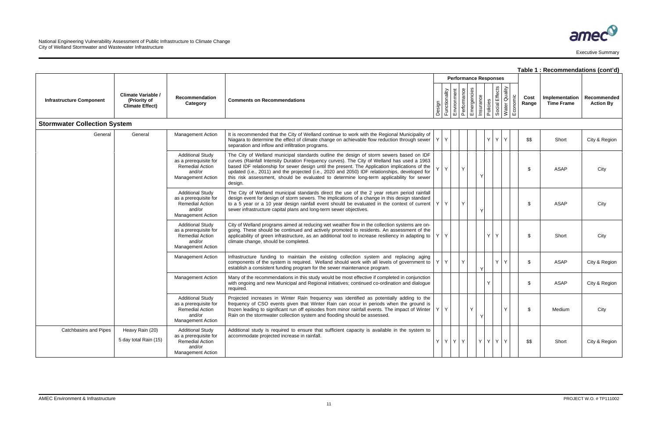|                                     |                                                                     |                                                                                                                  |                                                                                                                                                                                                                                                                                                                                                                                                                                                                                                 |                                                                      |                              |    |   |                                                          |          |               | Table 1: Recommendations (cont'd)   |                                 |
|-------------------------------------|---------------------------------------------------------------------|------------------------------------------------------------------------------------------------------------------|-------------------------------------------------------------------------------------------------------------------------------------------------------------------------------------------------------------------------------------------------------------------------------------------------------------------------------------------------------------------------------------------------------------------------------------------------------------------------------------------------|----------------------------------------------------------------------|------------------------------|----|---|----------------------------------------------------------|----------|---------------|-------------------------------------|---------------------------------|
|                                     |                                                                     |                                                                                                                  |                                                                                                                                                                                                                                                                                                                                                                                                                                                                                                 |                                                                      | <b>Performance Responses</b> |    |   |                                                          |          |               |                                     |                                 |
| <b>Infrastructure Component</b>     | <b>Climate Variable /</b><br>(Priority of<br><b>Climate Effect)</b> | Recommendation<br>Category                                                                                       | <b>Comments on Recommendations</b>                                                                                                                                                                                                                                                                                                                                                                                                                                                              | Design<br>Functionality<br>Environment<br>Performance<br>Emergencies |                              |    |   | Insurance<br>Policies<br>Social Effects<br>Water Quality | Economic | Cost<br>Range | Implementation<br><b>Time Frame</b> | Recommended<br><b>Action By</b> |
| <b>Stormwater Collection System</b> |                                                                     |                                                                                                                  |                                                                                                                                                                                                                                                                                                                                                                                                                                                                                                 |                                                                      |                              |    |   |                                                          |          |               |                                     |                                 |
| General                             | General                                                             | <b>Management Action</b>                                                                                         | It is recommended that the City of Welland continue to work with the Regional Municipality of<br>Niagara to determine the effect of climate change on achievable flow reduction through sewer $ Y Y$<br>separation and inflow and infiltration programs.                                                                                                                                                                                                                                        |                                                                      |                              |    |   | YYY                                                      |          | \$\$          | Short                               | City & Region                   |
|                                     |                                                                     | <b>Additional Study</b><br>as a prerequisite for<br><b>Remedial Action</b><br>and/or<br><b>Management Action</b> | The City of Welland municipal standards outline the design of storm sewers based on IDF<br>curves (Rainfall Intensity Duration Frequency curves). The City of Welland has used a 1963<br>based IDF relationship for sewer design until the present. The Application implications of the<br>updated (i.e., 2011) and the projected (i.e., 2020 and 2050) IDF relationships, developed for<br>this risk assessment, should be evaluated to determine long-term applicability for sewer<br>design. | Y                                                                    |                              | Y  |   |                                                          |          | -\$           | ASAP                                | City                            |
|                                     |                                                                     | <b>Additional Study</b><br>as a prerequisite for<br><b>Remedial Action</b><br>and/or<br><b>Management Action</b> | The City of Welland municipal standards direct the use of the 2 year return period rainfall<br>design event for design of storm sewers. The implications of a change in this design standard<br>to a 5 year or a 10 year design rainfall event should be evaluated in the context of current $ Y $<br>sewer infrastructure capital plans and long-term sewer objectives.                                                                                                                        |                                                                      |                              | Y. |   |                                                          |          | -\$           | ASAP                                | City                            |
|                                     |                                                                     | <b>Additional Study</b><br>as a prerequisite for<br><b>Remedial Action</b><br>and/or<br><b>Management Action</b> | City of Welland programs aimed at reducing wet weather flow in the collection systems are on-<br>going. These should be continued and actively promoted to residents. An assessment of the<br>applicability of green infrastructure, as an additional tool to increase resiliency in adapting to $ Y $<br>climate change, should be completed.                                                                                                                                                  | $\mathsf{Y}$                                                         |                              |    |   | YY                                                       |          | -\$           | Short                               | City                            |
|                                     |                                                                     | <b>Management Action</b>                                                                                         | Infrastructure funding to maintain the existing collection system and replacing aging<br>components of the system is required. Welland should work with all levels of government to $ Y $<br>establish a consistent funding program for the sewer maintenance program.                                                                                                                                                                                                                          |                                                                      |                              | Y  |   | YY                                                       |          | \$            | ASAP                                | City & Region                   |
|                                     |                                                                     | <b>Management Action</b>                                                                                         | Many of the recommendations in this study would be most effective if completed in conjunction<br>with ongoing and new Municipal and Regional initiatives; continued co-ordination and dialogue<br>required.                                                                                                                                                                                                                                                                                     |                                                                      |                              |    | Υ |                                                          |          | -\$           | ASAP                                | City & Region                   |
|                                     |                                                                     | <b>Additional Study</b><br>as a prerequisite for<br>Remedial Action<br>and/or<br><b>Management Action</b>        | Projected increases in Winter Rain frequency was identified as potentially adding to the<br>frequency of CSO events given that Winter Rain can occur in periods when the ground is<br>frozen leading to significant run off episodes from minor rainfall events. The impact of Winter $ Y Y$<br>Rain on the stormwater collection system and flooding should be assessed.                                                                                                                       |                                                                      |                              |    |   |                                                          |          | \$            | Medium                              | City                            |
| Catchbasins and Pipes               | Heavy Rain (20)<br>5 day total Rain (15)                            | <b>Additional Study</b><br>as a prerequisite for<br>Remedial Action<br>and/or<br><b>Management Action</b>        | Additional study is required to ensure that sufficient capacity is available in the system to<br>accommodate projected increase in rainfall.                                                                                                                                                                                                                                                                                                                                                    | Y Y Y Y                                                              |                              |    |   | YYYY                                                     |          | \$\$          | Short                               | City & Region                   |

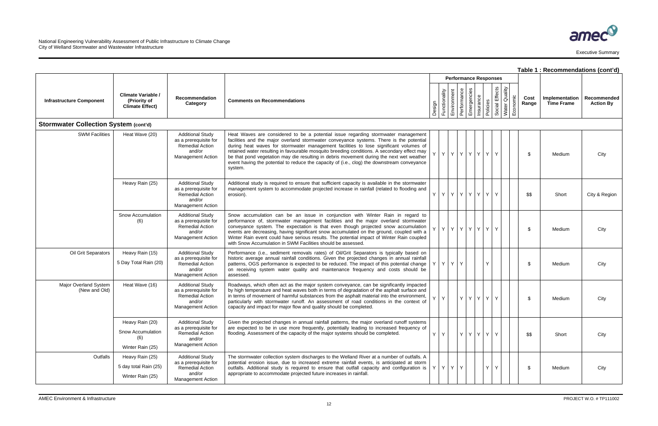|                                              |                                                                     |                                                                                                           |                                                                                                                                                                                                                                                                                                                                                                                                                                                                                                                                                                            |                                                                                                                                                                                                                                                                 |                 |             |             |                          |          |                   |                           |               | Table 1 : Recommendations (cont'd)  |                                 |
|----------------------------------------------|---------------------------------------------------------------------|-----------------------------------------------------------------------------------------------------------|----------------------------------------------------------------------------------------------------------------------------------------------------------------------------------------------------------------------------------------------------------------------------------------------------------------------------------------------------------------------------------------------------------------------------------------------------------------------------------------------------------------------------------------------------------------------------|-----------------------------------------------------------------------------------------------------------------------------------------------------------------------------------------------------------------------------------------------------------------|-----------------|-------------|-------------|--------------------------|----------|-------------------|---------------------------|---------------|-------------------------------------|---------------------------------|
|                                              |                                                                     | <b>Performance Responses</b>                                                                              |                                                                                                                                                                                                                                                                                                                                                                                                                                                                                                                                                                            |                                                                                                                                                                                                                                                                 |                 |             |             |                          |          |                   |                           |               |                                     |                                 |
| <b>Infrastructure Component</b>              | <b>Climate Variable /</b><br>(Priority of<br><b>Climate Effect)</b> | Recommendation<br>Category                                                                                | <b>Comments on Recommendations</b>                                                                                                                                                                                                                                                                                                                                                                                                                                                                                                                                         | Design                                                                                                                                                                                                                                                          | Functionality   | Environment | Performance | Emergencies<br>Insurance | Policies | Effects<br>Social | Water Quality<br>Economic | Cost<br>Range | Implementation<br><b>Time Frame</b> | Recommended<br><b>Action By</b> |
| <b>Stormwater Collection System (cont'd)</b> |                                                                     |                                                                                                           |                                                                                                                                                                                                                                                                                                                                                                                                                                                                                                                                                                            |                                                                                                                                                                                                                                                                 |                 |             |             |                          |          |                   |                           |               |                                     |                                 |
| <b>SWM Facilities</b>                        | Heat Wave (20)                                                      | <b>Additional Study</b><br>as a prerequisite for<br>Remedial Action<br>and/or<br><b>Management Action</b> | Heat Waves are considered to be a potential issue regarding stormwater management<br>facilities and the major overland stormwater conveyance systems. There is the potential<br>during heat waves for stormwater management facilities to lose significant volumes of<br>retained water resulting in favourable mosquito breeding conditions. A secondary effect may<br>be that pond vegetation may die resulting in debris movement during the next wet weather<br>event having the potential to reduce the capacity of (i.e., clog) the downstream conveyance<br>system. |                                                                                                                                                                                                                                                                 | Y.              |             |             | Y Y Y Y Y                |          |                   |                           | \$            | Medium                              | City                            |
|                                              | Heavy Rain (25)                                                     | <b>Additional Study</b><br>as a prerequisite for<br>Remedial Action<br>and/or<br><b>Management Action</b> | Additional study is required to ensure that sufficient capacity is available in the stormwater<br>management system to accommodate projected increase in rainfall (related to flooding and<br>erosion).                                                                                                                                                                                                                                                                                                                                                                    | YY                                                                                                                                                                                                                                                              |                 |             |             | YYYYYY                   |          | Y                 |                           | \$\$          | Short                               | City & Region                   |
|                                              | Snow Accumulation<br>(6)                                            | <b>Additional Study</b><br>as a prerequisite for<br>Remedial Action<br>and/or<br><b>Management Action</b> | Snow accumulation can be an issue in conjunction with Winter Rain in regard to<br>performance of, stormwater management facilities and the major overland stormwater<br>conveyance system. The expectation is that even though projected snow accumulation<br>events are decreasing, having significant snow accumulated on the ground, coupled with a<br>Winter Rain event could have serious results. The potential impact of Winter Rain coupled<br>with Snow Accumulation in SWM Facilities should be assessed.                                                        |                                                                                                                                                                                                                                                                 | Y               |             |             | Y Y Y Y Y                |          |                   |                           | \$            | Medium                              | City                            |
| Oil Grit Separators                          | Heavy Rain (15)<br>5 Day Total Rain (20)                            | <b>Additional Study</b><br>as a prerequisite for<br>Remedial Action<br>and/or<br><b>Management Action</b> | Performance (i.e., sediment removals rates) of Oil/Grit Separators is typically based on<br>historic average annual rainfall conditions. Given the projected changes in annual rainfall<br>patterns, OGS performance is expected to be reduced. The impact of this potential change<br>on receiving system water quality and maintenance frequency and costs should be<br>assessed.                                                                                                                                                                                        | YY                                                                                                                                                                                                                                                              |                 | Y           | Y           |                          |          |                   |                           | \$            | Medium                              | City                            |
| Major Overland System<br>(New and Old)       | Heat Wave (16)                                                      | <b>Additional Study</b><br>as a prerequisite for<br>Remedial Action<br>and/or<br><b>Management Action</b> | Roadways, which often act as the major system conveyance, can be significantly impacted<br>by high temperature and heat waves both in terms of degradation of the asphalt surface and<br>in terms of movement of harmful substances from the asphalt material into the environment,<br>particularly with stormwater runoff. An assessment of road conditions in the context of<br>capacity and impact for major flow and quality should be completed.                                                                                                                      | Y.                                                                                                                                                                                                                                                              | Y               |             |             | Y Y Y Y                  |          | Y                 |                           | \$            | Medium                              | City                            |
|                                              | Heavy Rain (20)                                                     | <b>Additional Study</b>                                                                                   | Given the projected changes in annual rainfall patterns, the major overland runoff systems<br>are expected to be in use more frequently, potentially leading to increased frequency of<br>flooding. Assessment of the capacity of the major systems should be completed.<br>and/or                                                                                                                                                                                                                                                                                         |                                                                                                                                                                                                                                                                 |                 |             |             |                          |          |                   |                           |               |                                     |                                 |
|                                              | Snow Accumulation<br>(6)<br>Winter Rain (25)                        | as a prerequisite for<br>Remedial Action<br><b>Management Action</b>                                      |                                                                                                                                                                                                                                                                                                                                                                                                                                                                                                                                                                            | $Y$ $Y$                                                                                                                                                                                                                                                         |                 |             |             | Y Y Y Y                  |          |                   |                           | \$\$          | Short                               | City                            |
| Outfalls                                     | Heavy Rain (25)                                                     | <b>Additional Study</b><br>as a prerequisite for<br>Remedial Action<br>and/or                             | The stormwater collection system discharges to the Welland River at a number of outfalls. A                                                                                                                                                                                                                                                                                                                                                                                                                                                                                |                                                                                                                                                                                                                                                                 |                 |             |             |                          |          |                   |                           |               |                                     |                                 |
|                                              | 5 day total Rain (25)<br>Winter Rain (25)                           |                                                                                                           |                                                                                                                                                                                                                                                                                                                                                                                                                                                                                                                                                                            | potential erosion issue, due to increased extreme rainfall events, is anticipated at storm<br>outfalls. Additional study is required to ensure that outfall capacity and configuration is<br>appropriate to accommodate projected future increases in rainfall. | $Y$ $Y$ $Y$ $Y$ |             |             |                          |          | Y                 | Y                         |               | \$                                  | Medium                          |
|                                              |                                                                     | <b>Management Action</b>                                                                                  |                                                                                                                                                                                                                                                                                                                                                                                                                                                                                                                                                                            |                                                                                                                                                                                                                                                                 |                 |             |             |                          |          |                   |                           |               |                                     |                                 |

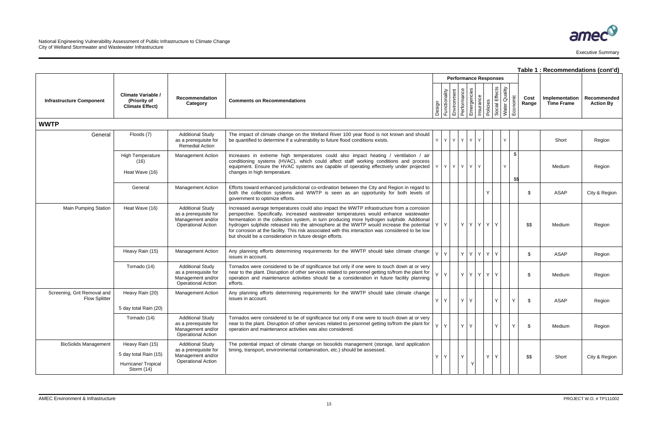|                                                     |                                                                              |                                                                                                    |                                                                                                                                                                                                                                                                                                                                                                                                                                                                                                                                               |                              |               |                            |             |           |              |                                 |  |            |               | Table 1 : Recommendations (cont'd)  |                                 |
|-----------------------------------------------------|------------------------------------------------------------------------------|----------------------------------------------------------------------------------------------------|-----------------------------------------------------------------------------------------------------------------------------------------------------------------------------------------------------------------------------------------------------------------------------------------------------------------------------------------------------------------------------------------------------------------------------------------------------------------------------------------------------------------------------------------------|------------------------------|---------------|----------------------------|-------------|-----------|--------------|---------------------------------|--|------------|---------------|-------------------------------------|---------------------------------|
|                                                     |                                                                              |                                                                                                    |                                                                                                                                                                                                                                                                                                                                                                                                                                                                                                                                               | <b>Performance Responses</b> |               |                            |             |           |              |                                 |  |            |               |                                     |                                 |
| <b>Infrastructure Component</b>                     | <b>Climate Variable /</b><br>(Priority of<br><b>Climate Effect)</b>          | Recommendation<br>Category                                                                         | <b>Comments on Recommendations</b>                                                                                                                                                                                                                                                                                                                                                                                                                                                                                                            | Design                       | Functionality | Performance<br>Environment | Emergencies | Insurance | Policies     | Social Effects<br>Water Quality |  | Economic   | Cost<br>Range | Implementation<br><b>Time Frame</b> | Recommended<br><b>Action By</b> |
| <b>WWTP</b>                                         |                                                                              |                                                                                                    |                                                                                                                                                                                                                                                                                                                                                                                                                                                                                                                                               |                              |               |                            |             |           |              |                                 |  |            |               |                                     |                                 |
| General                                             | Floods (7)                                                                   | <b>Additional Study</b><br>as a prerequisite for<br><b>Remedial Action</b>                         | The impact of climate change on the Welland River 100 year flood is not known and should<br>be quantified to determine if a vulnerability to future flood conditions exists.                                                                                                                                                                                                                                                                                                                                                                  | Y                            | $Y$ $Y$       | Y                          | Y.          | Y         |              |                                 |  |            |               | Short                               | Region                          |
|                                                     | <b>High Temperature</b><br>(16)<br>Heat Wave (16)                            | Management Action                                                                                  | Increases in extreme high temperatures could also impact heating / ventilation / air<br>conditioning systems (HVAC), which could affect staff working conditions and process<br>equipment. Ensure the HVAC systems are capable of operating effectively under projected<br>changes in high temperature.                                                                                                                                                                                                                                       |                              |               | Y Y Y Y Y Y Y Y            |             |           |              |                                 |  | \$<br>\$\$ |               | Medium                              | Region                          |
|                                                     | General                                                                      | Management Action                                                                                  | Efforts toward enhanced jurisdictional co-ordination between the City and Region in regard to<br>both the collection systems and WWTP is seen as an opportunity for both levels of<br>government to optimize efforts.                                                                                                                                                                                                                                                                                                                         |                              |               |                            |             |           | $\checkmark$ |                                 |  |            |               | ASAP                                | City & Region                   |
| <b>Main Pumping Station</b>                         | Heat Wave (16)                                                               | <b>Additional Study</b><br>as a prerequisite for<br>Management and/or<br><b>Operational Action</b> | Increased average temperatures could also impact the WWTP infrastructure from a corrosion<br>perspective. Specifically, increased wastewater temperatures would enhance wastewater<br>fermentation in the collection system, in turn producing more hydrogen sulphide. Additional<br>hydrogen sulphide released into the atmosphere at the WWTP would increase the potential<br>for corrosion at the facility. This risk associated with this interaction was considered to be low<br>but should be a consideration in future design efforts. | YY                           |               |                            |             | YYYY      | $Y$ $Y$      |                                 |  |            | \$\$          | Medium                              | Region                          |
|                                                     | Heavy Rain (15)                                                              | <b>Management Action</b>                                                                           | Any planning efforts determining requirements for the WWTP should take climate change<br>issues in account.                                                                                                                                                                                                                                                                                                                                                                                                                                   | Y Y                          |               |                            |             | YYY       | YY           |                                 |  |            | \$            | ASAP                                | Region                          |
|                                                     | Tornado (14)                                                                 | <b>Additional Study</b><br>as a prerequisite for<br>Management and/or<br><b>Operational Action</b> | Tornados were considered to be of significance but only if one were to touch down at or very<br>near to the plant. Disruption of other services related to personnel getting to/from the plant for<br>operation and maintenance activities should be a consideration in future facility planning<br>efforts.                                                                                                                                                                                                                                  | Y Y                          |               |                            |             | YYYY      |              | YY                              |  |            | -\$           | Medium                              | Region                          |
| Screening, Grit Removal and<br><b>Flow Splitter</b> | Heavy Rain (20)<br>5 day total Rain (20)                                     | <b>Management Action</b>                                                                           | Any planning efforts determining requirements for the WWTP should take climate change<br>issues in account.                                                                                                                                                                                                                                                                                                                                                                                                                                   | YY                           |               |                            | YY          |           |              | Y                               |  | Y.         | -\$           | ASAP                                | Region                          |
|                                                     | Tornado (14)                                                                 | <b>Additional Study</b><br>as a prerequisite for<br>Management and/or<br><b>Operational Action</b> | Tornados were considered to be of significance but only if one were to touch down at or very<br>near to the plant. Disruption of other services related to personnel getting to/from the plant for<br>operation and maintenance activities was also considered.                                                                                                                                                                                                                                                                               |                              | Y Y           |                            | YY          |           |              | Y.                              |  | Y          | \$            | Medium                              | Region                          |
| <b>BioSolids Management</b>                         | Heavy Rain (15)<br>5 day total Rain (15)<br>Hurricane/Tropical<br>Storm (14) | <b>Additional Study</b><br>as a prerequisite for<br>Management and/or<br><b>Operational Action</b> | The potential impact of climate change on biosolids management (storage, land application<br>timing, transport, environmental contamination, etc.) should be assessed.                                                                                                                                                                                                                                                                                                                                                                        | $Y$ $Y$                      |               | Y                          | Y           |           |              | YY                              |  |            | \$\$          | Short                               | City & Region                   |